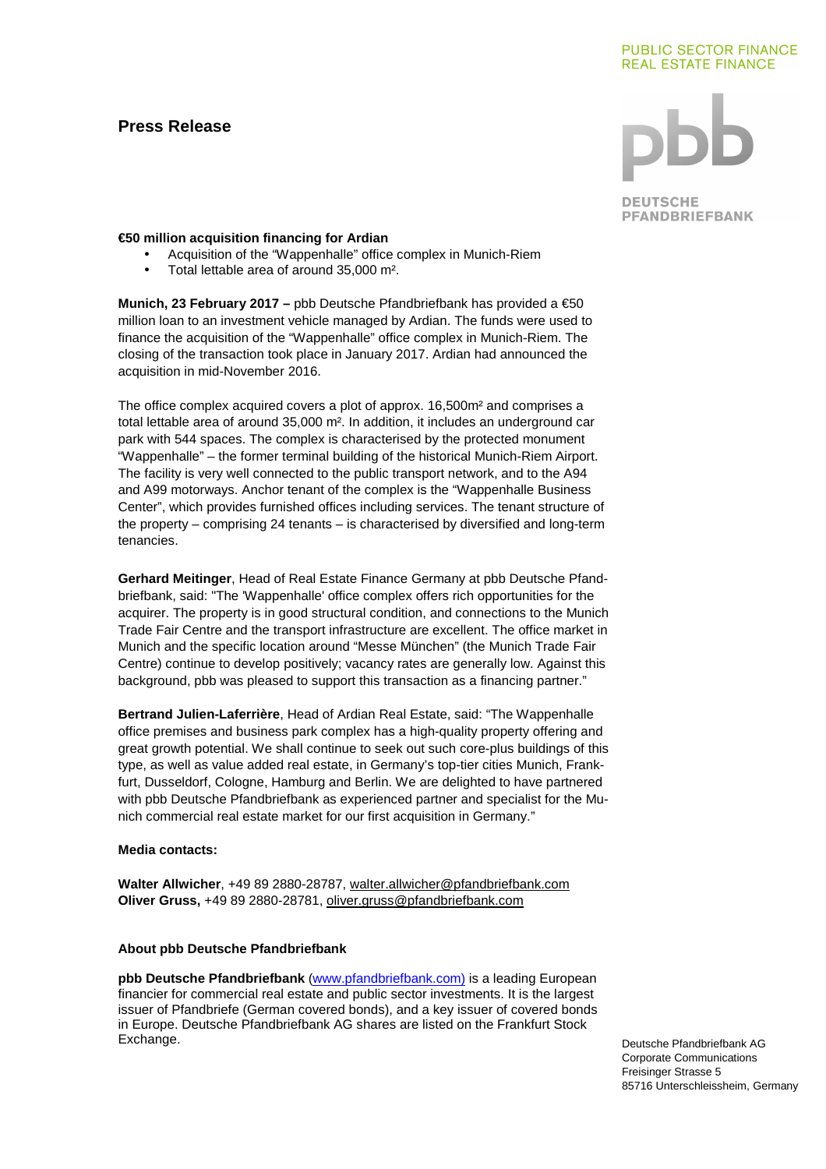# **Press Release**

#### **PUBLIC SECTOR FINANCE REAL ESTATE FINANCE**

**DEUTSCHE PFANDBRIEFBANK** 

### **€50 million acquisition financing for Ardian**

- Acquisition of the "Wappenhalle" office complex in Munich-Riem
- Total lettable area of around 35,000 m².

**Munich, 23 February 2017 –** pbb Deutsche Pfandbriefbank has provided a €50 million loan to an investment vehicle managed by Ardian. The funds were used to finance the acquisition of the "Wappenhalle" office complex in Munich-Riem. The closing of the transaction took place in January 2017. Ardian had announced the acquisition in mid-November 2016.

The office complex acquired covers a plot of approx. 16,500m² and comprises a total lettable area of around 35,000 m². In addition, it includes an underground car park with 544 spaces. The complex is characterised by the protected monument "Wappenhalle" – the former terminal building of the historical Munich-Riem Airport. The facility is very well connected to the public transport network, and to the A94 and A99 motorways. Anchor tenant of the complex is the "Wappenhalle Business Center", which provides furnished offices including services. The tenant structure of the property – comprising 24 tenants – is characterised by diversified and long-term tenancies.

**Gerhard Meitinger**, Head of Real Estate Finance Germany at pbb Deutsche Pfandbriefbank, said: "The 'Wappenhalle' office complex offers rich opportunities for the acquirer. The property is in good structural condition, and connections to the Munich Trade Fair Centre and the transport infrastructure are excellent. The office market in Munich and the specific location around "Messe München" (the Munich Trade Fair Centre) continue to develop positively; vacancy rates are generally low. Against this background, pbb was pleased to support this transaction as a financing partner."

**Bertrand Julien-Laferrière**, Head of Ardian Real Estate, said: "The Wappenhalle office premises and business park complex has a high-quality property offering and great growth potential. We shall continue to seek out such core-plus buildings of this type, as well as value added real estate, in Germany's top-tier cities Munich, Frankfurt, Dusseldorf, Cologne, Hamburg and Berlin. We are delighted to have partnered with pbb Deutsche Pfandbriefbank as experienced partner and specialist for the Munich commercial real estate market for our first acquisition in Germany."

#### **Media contacts:**

**Walter Allwicher**, +49 89 2880-28787, walter.allwicher@pfandbriefbank.com **Oliver Gruss,** +49 89 2880-28781, oliver.gruss@pfandbriefbank.com

# **About pbb Deutsche Pfandbriefbank**

**pbb Deutsche Pfandbriefbank** (www.pfandbriefbank.com) is a leading European financier for commercial real estate and public sector investments. It is the largest issuer of Pfandbriefe (German covered bonds), and a key issuer of covered bonds in Europe. Deutsche Pfandbriefbank AG shares are listed on the Frankfurt Stock Exchange.

Deutsche Pfandbriefbank AG Corporate Communications Freisinger Strasse 5 85716 Unterschleissheim, Germany